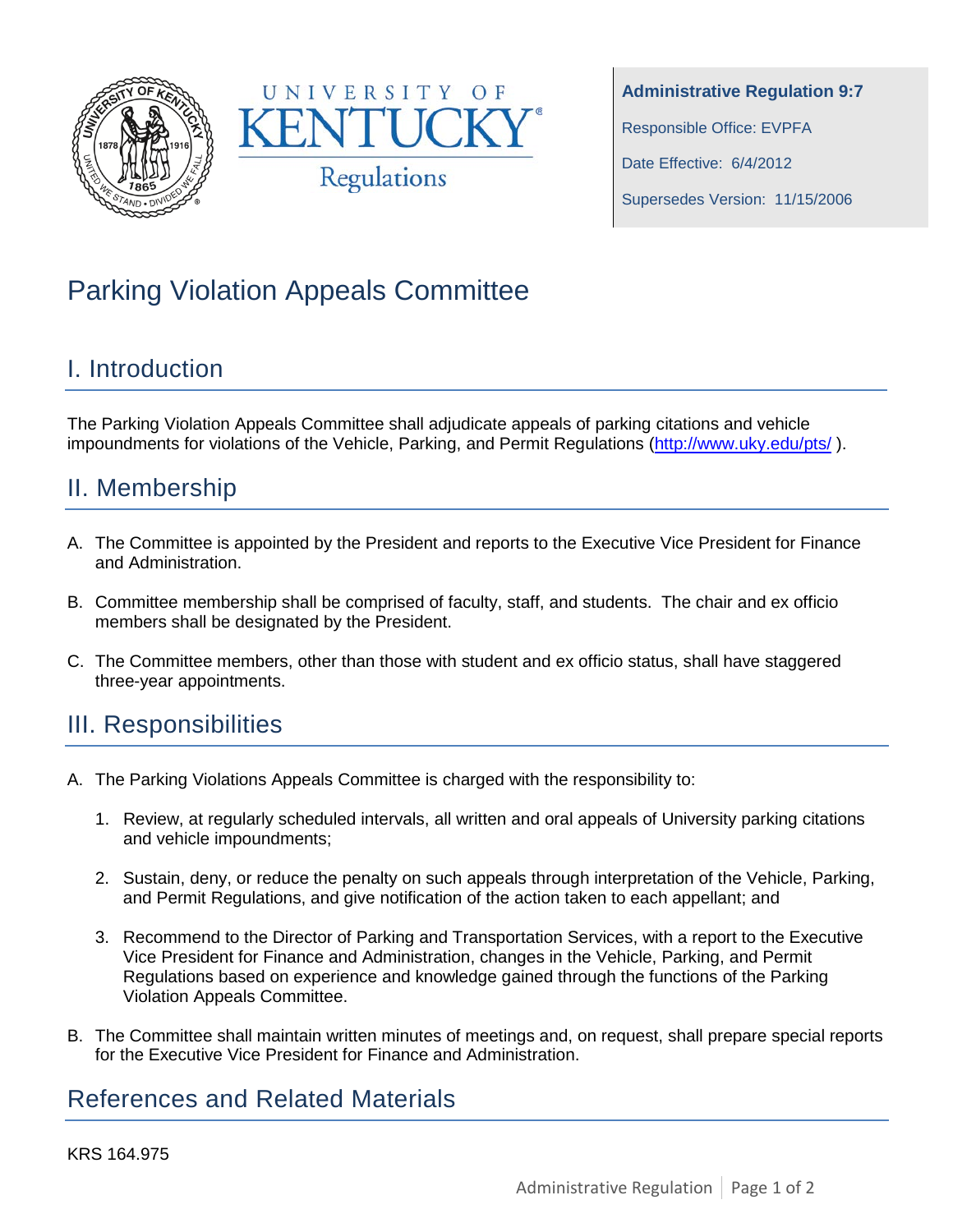



# Parking Violation Appeals Committee

### I. Introduction

The Parking Violation Appeals Committee shall adjudicate appeals of parking citations and vehicle impoundments for violations of the Vehicle, Parking, and Permit Regulations [\(http://www.uky.edu/pts/](http://www.uky.edu/pts/)).

# II. Membership

- A. The Committee is appointed by the President and reports to the Executive Vice President for Finance and Administration.
- B. Committee membership shall be comprised of faculty, staff, and students. The chair and ex officio members shall be designated by the President.
- C. The Committee members, other than those with student and ex officio status, shall have staggered three-year appointments.

#### III. Responsibilities

- A. The Parking Violations Appeals Committee is charged with the responsibility to:
	- 1. Review, at regularly scheduled intervals, all written and oral appeals of University parking citations and vehicle impoundments;
	- 2. Sustain, deny, or reduce the penalty on such appeals through interpretation of the Vehicle, Parking, and Permit Regulations, and give notification of the action taken to each appellant; and
	- 3. Recommend to the Director of Parking and Transportation Services, with a report to the Executive Vice President for Finance and Administration, changes in the Vehicle, Parking, and Permit Regulations based on experience and knowledge gained through the functions of the Parking Violation Appeals Committee.
- B. The Committee shall maintain written minutes of meetings and, on request, shall prepare special reports for the Executive Vice President for Finance and Administration.

# References and Related Materials